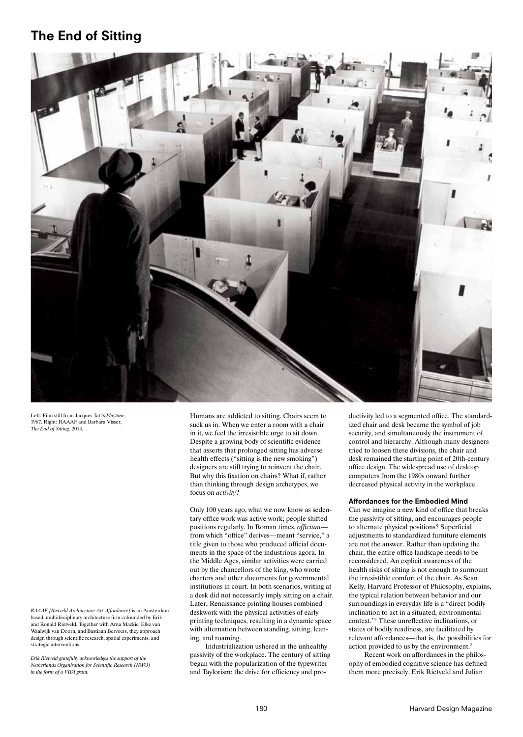# The End of Sitting



Left: Film still from Jacques Tati's *Playtime*, 1967. Right: RAAAF and Barbara Visser, *The End of Sitting*, 2014.

*RAAAF [Rietveld Architecture-Art-Affordance]* is an Amsterdambased, multidisciplinary architecture firm cofounded by Erik and Ronald Rietveld. Together with Arna Mackic, Elke van Waalwijk van Doorn, and Bastiaan Bervoets, they approach design through scientific research, spatial experiments, and strategic interventions.

*Erik Rietveld gratefully acknowledges the support of the Netherlands Organisation for Scientific Research (NWO) in the form of a VIDI grant.*

Humans are addicted to sitting. Chairs seem to suck us in. When we enter a room with a chair in it, we feel the irresistible urge to sit down. Despite a growing body of scientific evidence that asserts that prolonged sitting has adverse health effects ("sitting is the new smoking") designers are still trying to reinvent the chair. But why this fixation on chairs? What if, rather than thinking through design archetypes, we focus on *activity*?

Only 100 years ago, what we now know as sedentary office work was active work; people shifted positions regularly. In Roman times, *officium* from which "office" derives—meant "service," a title given to those who produced official documents in the space of the industrious agora. In the Middle Ages, similar activities were carried out by the chancellors of the king, who wrote charters and other documents for governmental institutions in court. In both scenarios, writing at a desk did not necessarily imply sitting on a chair. Later, Renaissance printing houses combined deskwork with the physical activities of early printing techniques, resulting in a dynamic space with alternation between standing, sitting, leaning, and roaming.

Industrialization ushered in the unhealthy passivity of the workplace. The century of sitting began with the popularization of the typewriter and Taylorism: the drive for efficiency and productivity led to a segmented office. The standardized chair and desk became the symbol of job security, and simultaneously the instrument of control and hierarchy. Although many designers tried to loosen these divisions, the chair and desk remained the starting point of 20th-century office design. The widespread use of desktop computers from the 1980s onward further decreased physical activity in the workplace.

#### Affordances for the Embodied Mind

Can we imagine a new kind of office that breaks the passivity of sitting, and encourages people to alternate physical positions? Superficial adjustments to standardized furniture elements are not the answer. Rather than updating the chair, the entire office landscape needs to be reconsidered. An explicit awareness of the health risks of sitting is not enough to surmount the irresistible comfort of the chair. As Sean Kelly, Harvard Professor of Philosophy, explains, the typical relation between behavior and our surroundings in everyday life is a "direct bodily inclination to act in a situated, environmental context."1 These unreflective inclinations, or states of bodily readiness, are facilitated by relevant affordances—that is, the possibilities for action provided to us by the environment.2

Recent work on affordances in the philosophy of embodied cognitive science has defined them more precisely. Erik Rietveld and Julian